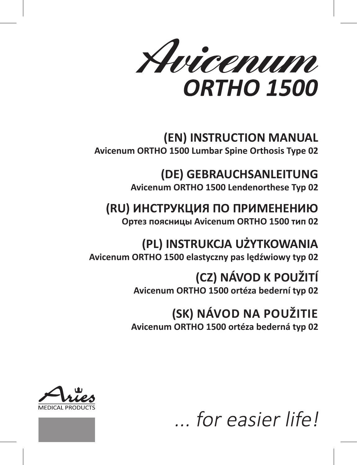Avicenum **ORTHO 1500** 

## **(EN) INSTRUCTION MANUAL**

**Avicenum ORTHO 1500 Lumbar Spine Orthosis Type 02**

**(DE) GEBRAUCHSANLEITUNG Avicenum ORTHO 1500 Lendenorthese Typ 02**

## **(RU) ИНСТРУКЦИЯ ПО ПРИМЕНЕНИЮ**

**Ортез поясницы Avicenum ORTHO 1500 тип 02**

**(PL) INSTRUKCJA UŻYTKOWANIA Avicenum ORTHO 1500 elastyczny pas lędźwiowy typ 02**

### **(CZ) NÁVOD K POUŽITÍ Avicenum ORTHO 1500 ortéza bederní typ 02**

### **(SK) NÁVOD NA POUŽITIE Avicenum ORTHO 1500 ortéza bederná typ 02**





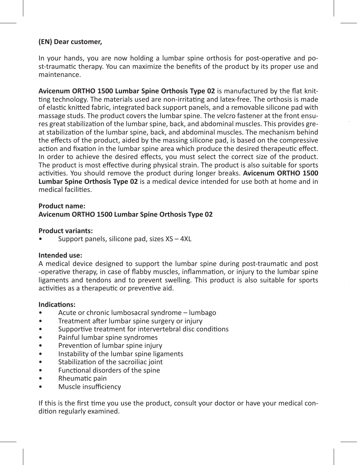#### **(EN) Dear customer,**

In your hands, you are now holding a lumbar spine orthosis for post-operative and post-traumatic therapy. You can maximize the benefits of the product by its proper use and maintenance.

**Avicenum ORTHO 1500 Lumbar Spine Orthosis Type 02** is manufactured by the flat knitting technology. The materials used are non-irritating and latex-free. The orthosis is made of elastic knitted fabric, integrated back support panels, and a removable silicone pad with massage studs. The product covers the lumbar spine. The velcro fastener at the front ensures great stabilization of the lumbar spine, back, and abdominal muscles. This provides great stabilization of the lumbar spine, back, and abdominal muscles. The mechanism behind the effects of the product, aided by the massing silicone pad, is based on the compressive action and fixation in the lumbar spine area which produce the desired therapeutic effect. In order to achieve the desired effects, you must select the correct size of the product. The product is most effective during physical strain. The product is also suitable for sports activities. You should remove the product during longer breaks. **Avicenum ORTHO 1500 Lumbar Spine Orthosis Type 02** is a medical device intended for use both at home and in medical facilities.

#### **Product name: Avicenum ORTHO 1500 Lumbar Spine Orthosis Type 02**

#### **Product variants:**

• Support panels, silicone pad, sizes XS – 4XL

#### **Intended use:**

A medical device designed to support the lumbar spine during post-traumatic and post -operative therapy, in case of flabby muscles, inflammation, or injury to the lumbar spine ligaments and tendons and to prevent swelling. This product is also suitable for sports activities as a therapeutic or preventive aid.

#### **Indications:**

- Acute or chronic lumbosacral syndrome lumbago
- Treatment after lumbar spine surgery or injury
- Supportive treatment for intervertebral disc conditions
- Painful lumbar spine syndromes
- Prevention of lumbar spine injury
- Instability of the lumbar spine ligaments
- Stabilization of the sacroiliac joint
- Functional disorders of the spine
- Rheumatic pain
- Muscle insufficiency

If this is the first time you use the product, consult your doctor or have your medical condition regularly examined.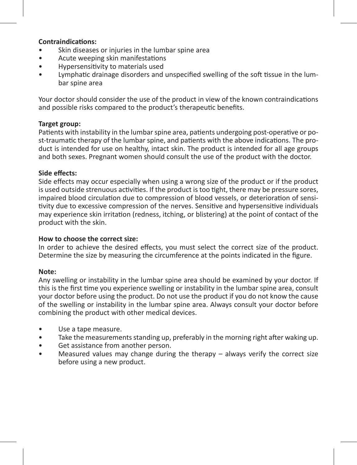#### **Contraindications:**

- Skin diseases or injuries in the lumbar spine area
- Acute weeping skin manifestations
- Hypersensitivity to materials used
- Lymphatic drainage disorders and unspecified swelling of the soft tissue in the lumbar spine area

Your doctor should consider the use of the product in view of the known contraindications and possible risks compared to the product's therapeutic benefits.

#### **Target group:**

Patients with instability in the lumbar spine area, patients undergoing post-operative or post-traumatic therapy of the lumbar spine, and patients with the above indications. The product is intended for use on healthy, intact skin. The product is intended for all age groups and both sexes. Pregnant women should consult the use of the product with the doctor.

#### **Side effects:**

Side effects may occur especially when using a wrong size of the product or if the product is used outside strenuous activities. If the product is too tight, there may be pressure sores, impaired blood circulation due to compression of blood vessels, or deterioration of sensitivity due to excessive compression of the nerves. Sensitive and hypersensitive individuals may experience skin irritation (redness, itching, or blistering) at the point of contact of the product with the skin.

#### **How to choose the correct size:**

In order to achieve the desired effects, you must select the correct size of the product. Determine the size by measuring the circumference at the points indicated in the figure.

#### **Note:**

Any swelling or instability in the lumbar spine area should be examined by your doctor. If this is the first time you experience swelling or instability in the lumbar spine area, consult your doctor before using the product. Do not use the product if you do not know the cause of the swelling or instability in the lumbar spine area. Always consult your doctor before combining the product with other medical devices.

- Use a tape measure.
- Take the measurements standing up, preferably in the morning right after waking up.
- Get assistance from another person.
- Measured values may change during the therapy  $-$  always verify the correct size before using a new product.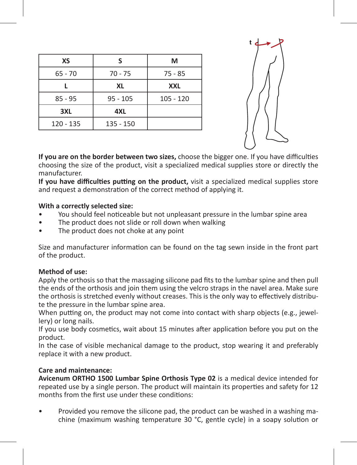| хs          | s          | м           |
|-------------|------------|-------------|
| $65 - 70$   | $70 - 75$  | $75 - 85$   |
|             | XL         | <b>XXL</b>  |
| $85 - 95$   | $95 - 105$ | $105 - 120$ |
| 3XL         | 4XL        |             |
| $120 - 135$ | 135 - 150  |             |
|             |            |             |



**If you are on the border between two sizes,** choose the bigger one. If you have difficulties choosing the size of the product, visit a specialized medical supplies store or directly the manufacturer.

**If you have difficulties putting on the product,** visit a specialized medical supplies store and request a demonstration of the correct method of applying it.

#### **With a correctly selected size:**

- You should feel noticeable but not unpleasant pressure in the lumbar spine area
- The product does not slide or roll down when walking
- The product does not choke at any point

Size and manufacturer information can be found on the tag sewn inside in the front part of the product.

#### **Method of use:**

Apply the orthosis so that the massaging silicone pad fits to the lumbar spine and then pull the ends of the orthosis and join them using the velcro straps in the navel area. Make sure the orthosis is stretched evenly without creases. This is the only way to effectively distribute the pressure in the lumbar spine area.

When putting on, the product may not come into contact with sharp objects (e.g., jewellery) or long nails.

If you use body cosmetics, wait about 15 minutes after application before you put on the product.

In the case of visible mechanical damage to the product, stop wearing it and preferably replace it with a new product.

#### **Care and maintenance:**

**Avicenum ORTHO 1500 Lumbar Spine Orthosis Type 02** is a medical device intended for repeated use by a single person. The product will maintain its properties and safety for 12 months from the first use under these conditions:

• Provided you remove the silicone pad, the product can be washed in a washing machine (maximum washing temperature 30 °C, gentle cycle) in a soapy solution or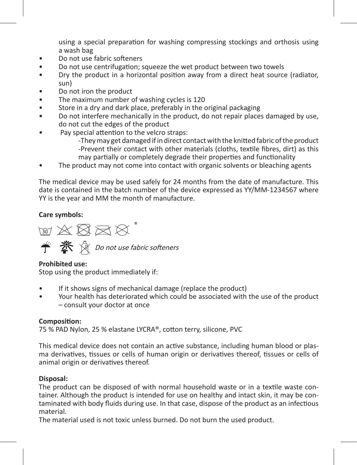using a special preparation for washing compressing stockings and orthosis using a wash bag

- Do not use fabric softeners
- Do not use centrifugation; squeeze the wet product between two towels
- Dry the product in a horizontal position away from a direct heat source (radiator, sun)
- Do not iron the product
- The maximum number of washing cycles is 120
- Store in a dry and dark place, preferably in the original packaging
- Do not interfere mechanically in the product, do not repair places damaged by use, do not cut the edges of the product
- Pay special attention to the velcro straps:
	- -They may get damaged if in direct contact with the knitted fabric of the product -Prevent their contact with other materials (cloths, textile fibres, dirt) as this may partially or completely degrade their properties and functionality
- The product may not come into contact with organic solvents or bleaching agents

The medical device may be used safely for 24 months from the date of manufacture. This date is contained in the batch number of the device expressed as YY/MM-1234567 where YY is the year and MM the month of manufacture.

#### **Care symbols:**

阿文图区区  $\hat{\mathbf{T}}$   $\hat{\mathbf{X}}$   $\hat{\mathbf{N}}$  Do not use fabric softeners

#### **Prohibited use:**

Stop using the product immediately if:

- If it shows signs of mechanical damage (replace the product)
- Your health has deteriorated which could be associated with the use of the product – consult your doctor at once

#### **Composition:**

75 % PAD Nylon, 25 % elastane LYCRA®, cotton terry, silicone, PVC

This medical device does not contain an active substance, including human blood or plasma derivatives, tissues or cells of human origin or derivatives thereof, tissues or cells of animal origin or derivatives thereof.

#### **Disposal:**

The product can be disposed of with normal household waste or in a textile waste container. Although the product is intended for use on healthy and intact skin, it may be contaminated with body fluids during use. In that case, dispose of the product as an infectious material.

The material used is not toxic unless burned. Do not burn the used product.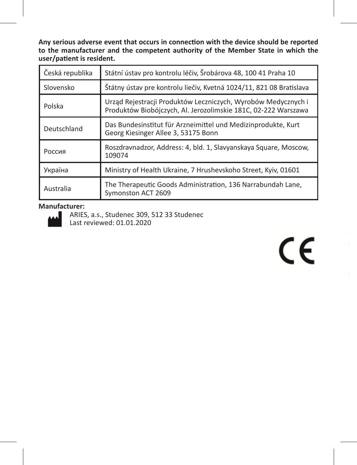**Any serious adverse event that occurs in connection with the device should be reported to the manufacturer and the competent authority of the Member State in which the user/patient is resident.**

| Česká republika | Státní ústav pro kontrolu léčiv, Šrobárova 48, 100 41 Praha 10                                                                  |
|-----------------|---------------------------------------------------------------------------------------------------------------------------------|
| Slovensko       | Štátny ústav pre kontrolu liečiv, Kvetná 1024/11, 821 08 Bratislava                                                             |
| Polska          | Urząd Rejestracji Produktów Leczniczych, Wyrobów Medycznych i<br>Produktów Biobójczych, Al. Jerozolimskie 181C, 02-222 Warszawa |
| Deutschland     | Das Bundesinstitut für Arzneimittel und Medizinprodukte, Kurt<br>Georg Kiesinger Allee 3, 53175 Bonn                            |
| Россия          | Roszdravnadzor, Address: 4, bld. 1, Slavyanskaya Square, Moscow,<br>109074                                                      |
| Україна         | Ministry of Health Ukraine, 7 Hrushevskoho Street, Kyiv, 01601                                                                  |
| Australia       | The Therapeutic Goods Administration, 136 Narrabundah Lane,<br>Symonston ACT 2609                                               |

#### **Manufacturer:**



ARIES, a.s., Studenec 309, 512 33 Studenec Last reviewed: 01.01.2020

 $\epsilon$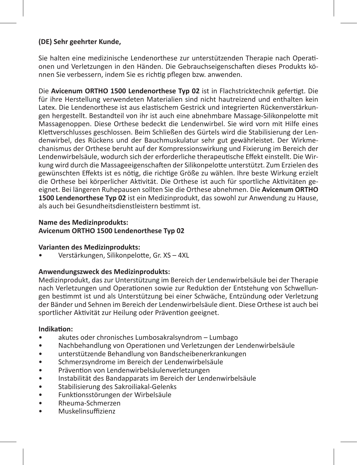#### **(DE) Sehr geehrter Kunde,**

Sie halten eine medizinische Lendenorthese zur unterstützenden Therapie nach Operationen und Verletzungen in den Händen. Die Gebrauchseigenschaften dieses Produkts können Sie verbessern, indem Sie es richtig pflegen bzw. anwenden.

Die **Avicenum ORTHO 1500 Lendenorthese Typ 02** ist in Flachstricktechnik gefertigt. Die für ihre Herstellung verwendeten Materialien sind nicht hautreizend und enthalten kein Latex. Die Lendenorthese ist aus elastischem Gestrick und integrierten Rückenverstärkungen hergestellt. Bestandteil von ihr ist auch eine abnehmbare Massage-Silikonpelotte mit Massagenoppen. Diese Orthese bedeckt die Lendenwirbel. Sie wird vorn mit Hilfe eines Klettverschlusses geschlossen. Beim Schließen des Gürtels wird die Stabilisierung der Lendenwirbel, des Rückens und der Bauchmuskulatur sehr gut gewährleistet. Der Wirkmechanismus der Orthese beruht auf der Kompressionswirkung und Fixierung im Bereich der Lendenwirbelsäule, wodurch sich der erforderliche therapeutische Effekt einstellt. Die Wirkung wird durch die Massageeigenschaften der Silikonpelotte unterstützt. Zum Erzielen des gewünschten Effekts ist es nötig, die richtige Größe zu wählen. Ihre beste Wirkung erzielt die Orthese bei körperlicher Aktivität. Die Orthese ist auch für sportliche Aktivitäten geeignet. Bei längeren Ruhepausen sollten Sie die Orthese abnehmen. Die **Avicenum ORTHO 1500 Lendenorthese Typ 02** ist ein Medizinprodukt, das sowohl zur Anwendung zu Hause, als auch bei Gesundheitsdienstleistern bestimmt ist.

#### **Name des Medizinprodukts:**

**Avicenum ORTHO 1500 Lendenorthese Typ 02**

#### **Varianten des Medizinprodukts:**

• Verstärkungen, Silikonpelotte, Gr. XS – 4XL

#### **Anwendungszweck des Medizinprodukts:**

Medizinprodukt, das zur Unterstützung im Bereich der Lendenwirbelsäule bei der Therapie nach Verletzungen und Operationen sowie zur Reduktion der Entstehung von Schwellungen bestimmt ist und als Unterstützung bei einer Schwäche, Entzündung oder Verletzung der Bänder und Sehnen im Bereich der Lendenwirbelsäule dient. Diese Orthese ist auch bei sportlicher Aktivität zur Heilung oder Prävention geeignet.

#### **Indikation:**

- akutes oder chronisches Lumbosakralsyndrom Lumbago
- Nachbehandlung von Operationen und Verletzungen der Lendenwirbelsäule
- unterstützende Behandlung von Bandscheibenerkrankungen
- Schmerzsyndrome im Bereich der Lendenwirbelsäule
- Prävention von Lendenwirbelsäulenverletzungen
- Instabilität des Bandapparats im Bereich der Lendenwirbelsäule
- Stabilisierung des Sakroiliakal-Gelenks
- Funktionsstörungen der Wirbelsäule
- Rheuma-Schmerzen
- Muskelinsuffizienz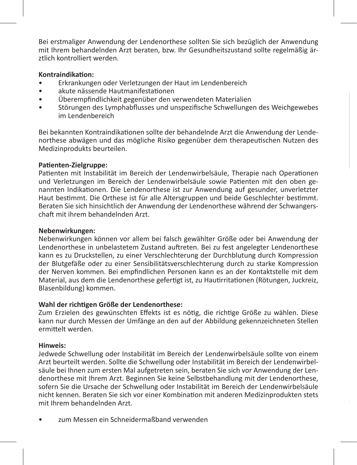Bei erstmaliger Anwendung der Lendenorthese sollten Sie sich bezüglich der Anwendung mit Ihrem behandelnden Arzt beraten, bzw. Ihr Gesundheitszustand sollte regelmäßig ärztlich kontrolliert werden.

#### **Kontraindikation:**

- Erkrankungen oder Verletzungen der Haut im Lendenbereich
- akute nässende Hautmanifestationen
- Überempfindlichkeit gegenüber den verwendeten Materialien
- Störungen des Lymphabflusses und unspezifische Schwellungen des Weichgewebes im Lendenbereich

Bei bekannten Kontraindikationen sollte der behandelnde Arzt die Anwendung der Lendenorthese abwägen und das mögliche Risiko gegenüber dem therapeutischen Nutzen des Medizinprodukts beurteilen.

#### **Patienten-Zielgruppe:**

Patienten mit Instabilität im Bereich der Lendenwirbelsäule, Therapie nach Operationen und Verletzungen im Bereich der Lendenwirbelsäule sowie Patienten mit den oben genannten Indikationen. Die Lendenorthese ist zur Anwendung auf gesunder, unverletzter Haut bestimmt. Die Orthese ist für alle Altersgruppen und beide Geschlechter bestimmt. Beraten Sie sich hinsichtlich der Anwendung der Lendenorthese während der Schwangerschaft mit ihrem behandelnden Arzt.

#### **Nebenwirkungen:**

Nebenwirkungen können vor allem bei falsch gewählter Größe oder bei Anwendung der Lendenorthese in unbelastetem Zustand auftreten. Bei zu fest angelegter Lendenorthese kann es zu Druckstellen, zu einer Verschlechterung der Durchblutung durch Kompression der Blutgefäße oder zu einer Sensibilitätsverschlechterung durch zu starke Kompression der Nerven kommen. Bei empfindlichen Personen kann es an der Kontaktstelle mit dem Material, aus dem die Lendenorthese gefertigt ist, zu Hautirritationen (Rötungen, Juckreiz, Blasenbildung) kommen.

#### **Wahl der richtigen Größe der Lendenorthese:**

Zum Erzielen des gewünschten Effekts ist es nötig, die richtige Größe zu wählen. Diese kann nur durch Messen der Umfänge an den auf der Abbildung gekennzeichneten Stellen ermittelt werden.

#### **Hinweis:**

Jedwede Schwellung oder Instabilität im Bereich der Lendenwirbelsäule sollte von einem Arzt beurteilt werden. Sollte die Schwellung oder Instabilität im Bereich der Lendenwirbelsäule bei Ihnen zum ersten Mal aufgetreten sein, beraten Sie sich vor Anwendung der Lendenorthese mit Ihrem Arzt. Beginnen Sie keine Selbstbehandlung mit der Lendenorthese, sofern Sie die Ursache der Schwellung oder Instabilität im Bereich der Lendenwirbelsäule nicht kennen. Beraten Sie sich vor einer Kombination mit anderen Medizinprodukten stets mit Ihrem behandelnden Arzt.

zum Messen ein Schneidermaßband verwenden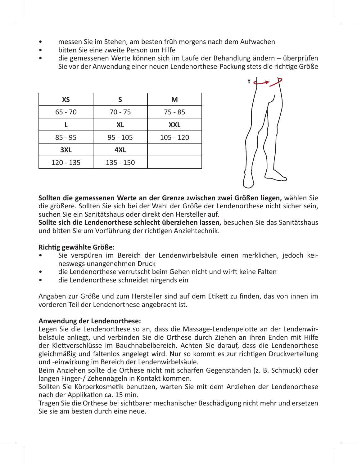- messen Sie im Stehen, am besten früh morgens nach dem Aufwachen
- bitten Sie eine zweite Person um Hilfe
- die gemessenen Werte können sich im Laufe der Behandlung ändern überprüfen Sie vor der Anwendung einer neuen Lendenorthese-Packung stets die richtige Größe

| хs        | s          | М           |
|-----------|------------|-------------|
| $65 - 70$ | $70 - 75$  | $75 - 85$   |
|           | XL         | <b>XXL</b>  |
| $85 - 95$ | $95 - 105$ | $105 - 120$ |
| 3XL       | 4XL        |             |
| 120 - 135 | 135 - 150  |             |



**Sollten die gemessenen Werte an der Grenze zwischen zwei Größen liegen,** wählen Sie die größere. Sollten Sie sich bei der Wahl der Größe der Lendenorthese nicht sicher sein, suchen Sie ein Sanitätshaus oder direkt den Hersteller auf.

**Sollte sich die Lendenorthese schlecht überziehen lassen,** besuchen Sie das Sanitätshaus und bitten Sie um Vorführung der richtigen Anziehtechnik.

#### **Richtig gewählte Größe:**

- Sie verspüren im Bereich der Lendenwirbelsäule einen merklichen, jedoch keineswegs unangenehmen Druck
- die Lendenorthese verrutscht beim Gehen nicht und wirft keine Falten
- die Lendenorthese schneidet nirgends ein

Angaben zur Größe und zum Hersteller sind auf dem Etikett zu finden, das von innen im vorderen Teil der Lendenorthese angebracht ist.

#### **Anwendung der Lendenorthese:**

Legen Sie die Lendenorthese so an, dass die Massage-Lendenpelotte an der Lendenwirbelsäule anliegt, und verbinden Sie die Orthese durch Ziehen an ihren Enden mit Hilfe der Klettverschlüsse im Bauchnabelbereich. Achten Sie darauf, dass die Lendenorthese gleichmäßig und faltenlos angelegt wird. Nur so kommt es zur richtigen Druckverteilung und -einwirkung im Bereich der Lendenwirbelsäule.

Beim Anziehen sollte die Orthese nicht mit scharfen Gegenständen (z. B. Schmuck) oder langen Finger-/ Zehennägeln in Kontakt kommen.

Sollten Sie Körperkosmetik benutzen, warten Sie mit dem Anziehen der Lendenorthese nach der Applikation ca. 15 min.

Tragen Sie die Orthese bei sichtbarer mechanischer Beschädigung nicht mehr und ersetzen Sie sie am besten durch eine neue.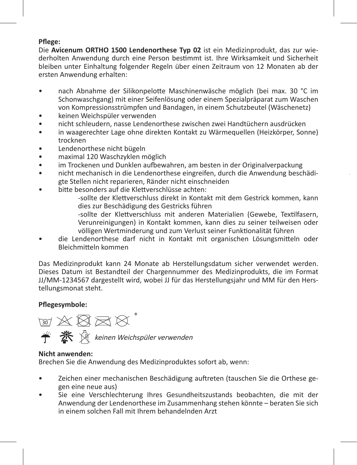#### **Pflege:**

Die **Avicenum ORTHO 1500 Lendenorthese Typ 02** ist ein Medizinprodukt, das zur wiederholten Anwendung durch eine Person bestimmt ist. Ihre Wirksamkeit und Sicherheit bleiben unter Einhaltung folgender Regeln über einen Zeitraum von 12 Monaten ab der ersten Anwendung erhalten:

- nach Abnahme der Silikonpelotte Maschinenwäsche möglich (bei max. 30 °C im Schonwaschgang) mit einer Seifenlösung oder einem Spezialpräparat zum Waschen von Kompressionsstrümpfen und Bandagen, in einem Schutzbeutel (Wäschenetz)
- keinen Weichspüler verwenden
- nicht schleudern, nasse Lendenorthese zwischen zwei Handtüchern ausdrücken
- in waagerechter Lage ohne direkten Kontakt zu Wärmequellen (Heizkörper, Sonne) trocknen
- Lendenorthese nicht bügeln
- maximal 120 Waschzyklen möglich
- im Trockenen und Dunklen aufbewahren, am besten in der Originalverpackung
- nicht mechanisch in die Lendenorthese eingreifen, durch die Anwendung beschädigte Stellen nicht reparieren, Ränder nicht einschneiden
- bitte besonders auf die Klettverschlüsse achten:

-sollte der Klettverschluss direkt in Kontakt mit dem Gestrick kommen, kann dies zur Beschädigung des Gestricks führen

**Jedwedes schwerwiegende unerwünschte Vorkommnis, zu dem es im Zusammenhang** 

-sollte der Klettverschluss mit anderen Materialien (Gewebe, Textilfasern, Verunreinigungen) in Kontakt kommen, kann dies zu seiner teilweisen oder völligen Wertminderung und zum Verlust seiner Funktionalität führen

• die Lendenorthese darf nicht in Kontakt mit organischen Lösungsmitteln oder Bleichmitteln kommen

Das Medizinprodukt kann 24 Monate ab Herstellungsdatum sicher verwendet werden. Dieses Datum ist Bestandteil der Chargennummer des Medizinprodukts, die im Format JJ/MM-1234567 dargestellt wird, wobei JJ für das Herstellungsjahr und MM für den Herstellungsmonat steht.

#### **Pflegesymbole:**

**M 区区区区 K** ※ R keinen Weichspüler verwenden

#### **Nicht anwenden:**

Brechen Sie die Anwendung des Medizinproduktes sofort ab, wenn:

- Zeichen einer mechanischen Beschädigung auftreten (tauschen Sie die Orthese gegen eine neue aus)
- Sie eine Verschlechterung Ihres Gesundheitszustands beobachten, die mit der Anwendung der Lendenorthese im Zusammenhang stehen könnte – beraten Sie sich in einem solchen Fall mit Ihrem behandelnden Arzt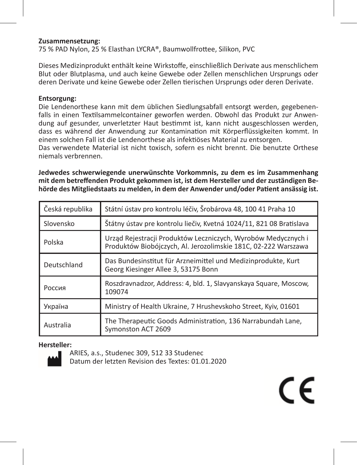#### **Zusammensetzung:**

75 % PAD Nylon, 25 % Elasthan LYCRA®, Baumwollfrottee, Silikon, PVC

Dieses Medizinprodukt enthält keine Wirkstoffe, einschließlich Derivate aus menschlichem Blut oder Blutplasma, und auch keine Gewebe oder Zellen menschlichen Ursprungs oder deren Derivate und keine Gewebe oder Zellen tierischen Ursprungs oder deren Derivate.

#### **Entsorgung:**

Die Lendenorthese kann mit dem üblichen Siedlungsabfall entsorgt werden, gegebenenfalls in einen Textilsammelcontainer geworfen werden. Obwohl das Produkt zur Anwendung auf gesunder, unverletzter Haut bestimmt ist, kann nicht ausgeschlossen werden, dass es während der Anwendung zur Kontamination mit Körperflüssigkeiten kommt. In einem solchen Fall ist die Lendenorthese als infektiöses Material zu entsorgen.

Das verwendete Material ist nicht toxisch, sofern es nicht brennt. Die benutzte Orthese niemals verbrennen.

**Jedwedes schwerwiegende unerwünschte Vorkommnis, zu dem es im Zusammenhang mit dem betreffenden Produkt gekommen ist, ist dem Hersteller und der zuständigen Behörde des Mitgliedstaats zu melden, in dem der Anwender und/oder Patient ansässig ist.**

| Česká republika | Státní ústav pro kontrolu léčiv, Šrobárova 48, 100 41 Praha 10                                                                  |
|-----------------|---------------------------------------------------------------------------------------------------------------------------------|
| Slovensko       | Štátny ústav pre kontrolu liečiv, Kvetná 1024/11, 821 08 Bratislava                                                             |
| Polska          | Urząd Rejestracji Produktów Leczniczych, Wyrobów Medycznych i<br>Produktów Biobójczych, Al. Jerozolimskie 181C, 02-222 Warszawa |
| Deutschland     | Das Bundesinstitut für Arzneimittel und Medizinprodukte, Kurt<br>Georg Kiesinger Allee 3, 53175 Bonn                            |
| Россия          | Roszdravnadzor, Address: 4, bld. 1, Slavyanskaya Square, Moscow,<br>109074                                                      |
| Україна         | Ministry of Health Ukraine, 7 Hrushevskoho Street, Kyiv, 01601                                                                  |
| Australia       | The Therapeutic Goods Administration, 136 Narrabundah Lane,<br>Symonston ACT 2609                                               |

#### **Hersteller:**



ARIES, a.s., Studenec 309, 512 33 Studenec Datum der letzten Revision des Textes: 01.01.2020

CE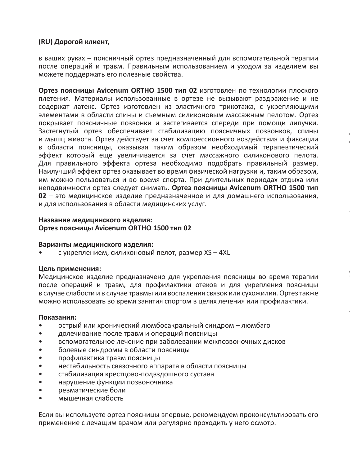#### **(RU) Дорогой клиент,**

в ваших руках – поясничный ортез предназначенный для вспомогательной терапии после операций и травм. Правильным использованием и уходом за изделием вы можете поддержать его полезные свойства.

**Ортез поясницы Avicenum ORTHO 1500 тип 02** изготовлен по технологии плоского плетения. Материалы использованные в ортезе не вызывают раздражение и не содержат латекс. Ортез изготовлен из эластичного трикотажа, с укрепляющими элементами в области спины и съемным силиконовым массажным пелотом. Ортез покрывает поясничные позвонки и застегивается спереди при помощи липучки. Застегнутый ортез обеспечивает стабилизацию поясничных позвонков, спины и мышц живота. Ортез действует за счет компрессионного воздействия и фиксации в области поясницы, оказывая таким образом необходимый терапевтический эффект который еще увеличивается за счет массажного силиконового пелота. Для правильного эффекта ортеза необходимо подобрать правильный размер. Наилучший эффект ортез оказывает во время физической нагрузки и, таким образом, им можно пользоваться и во время спорта. При длительных периодах отдыха или неподвижности ортез следует снимать. **Ортез поясницы Avicenum ORTHO 1500 тип 02** – это медицинское изделие предназначенное и для домашнего использования, и для использования в области медицинских услуг.

**Для кого предназначен ортез:** 

Для пациентов с

Для правильного эффекта ортеза необходимо подобрать правильный размер. Для

#### **Название медицинского изделия: Ортез поясницы Avicenum ORTHO 1500 тип 02**

#### **Варианты медицинского изделия:**

• с укреплением, силиконовый пелот, размер XS – 4XL

#### **Цель применения:**

Медицинское изделие предназначено для укрепления поясницы во время терапии после операций и травм, для профилактики отеков и для укрепления поясницы в случае слабости и в случае травмы или воспаления связок или сухожилия. Ортез также можно использовать во время занятия спортом в целях лечения или профилактики.

#### **Показания:**

- острый или хронический люмбосакральный синдром люмбаго
- долечивание после травм и операций поясницы
- вспомогательное лечение при заболевании межпозвоночных дисков
- болевые синдромы в области поясницы
- профилактика травм поясницы
- нестабильность связочного аппарата в области поясницы
- стабилизация крестцово-подвздошного сустава
- нарушение функции позвоночника
- ревматические боли
- мышечная слабость

Если вы используете ортез поясницы впервые, рекомендуем проконсультировать его применение с лечащим врачом или регулярно проходить у него осмотр.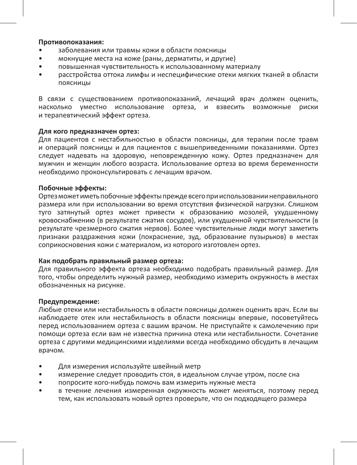#### **Противопоказания:**

- заболевания или травмы кожи в области поясницы
- мокнущие места на коже (раны, дерматиты, и другие)
- повышенная чувствительность к использованному материалу
- расстройства оттока лимфы и неспецифические отеки мягких тканей в области поясницы

В связи с существованием противопоказаний, лечащий врач должен оценить, насколько уместно использование ортеза, и взвесить возможные риски и терапевтический эффект ортеза.

#### **Для кого предназначен ортез:**

Для пациентов с нестабильностью в области поясницы, для терапии после травм и операций поясницы и для пациентов с вышеприведенными показаниями. Ортез следует надевать на здоровую, неповрежденную кожу. Ортез предназначен для мужчин и женщин любого возраста. Использование ортеза во время беременности необходимо проконсультировать с лечащим врачом.

#### **Побочные эффекты:**

Ортез может иметь побочные эффекты прежде всего при использовании неправильного размера или при использовании во время отсутствия физической нагрузки. Слишком туго затянутый ортез может привести к образованию мозолей, ухудшенному кровоснабжению (в результате сжатия сосудов), или ухудшенной чувствительности (в результате чрезмерного сжатия нервов). Более чувствительные люди могут заметить признаки раздражения кожи (покраснение, зуд, образование пузырьков) в местах соприкосновения кожи с материалом, из которого изготовлен ортез.

#### **Как подобрать правильный размер ортеза:**

Для правильного эффекта ортеза необходимо подобрать правильный размер. Для того, чтобы определить нужный размер, необходимо измерить окружность в местах обозначенных на рисунке.

#### **Предупреждение:**

Любые отеки или нестабильность в области поясницы должен оценить врач. Если вы наблюдаете отек или нестабильность в области поясницы впервые, посоветуйтесь перед использованием ортеза с вашим врачом. Не приступайте к самолечению при помощи ортеза если вам не известна причина отека или нестабильности. Сочетание ортеза с другими медицинскими изделиями всегда необходимо обсудить в лечащим врачом.

- Для измерения используйте швейный метр
- измерение следует проводить стоя, в идеальном случае утром, после сна
- попросите кого-нибудь помочь вам измерить нужные места
- в течение лечения измеренная окружность может меняться, поэтому перед тем, как использовать новый ортез проверьте, что он подходящего размера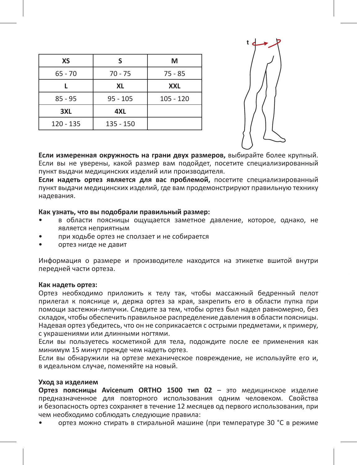| s          | м           |
|------------|-------------|
| 70 - 75    | $75 - 85$   |
| XL         | <b>XXL</b>  |
| $95 - 105$ | $105 - 120$ |
| 4XL        |             |
| 135 - 150  |             |
|            |             |



**Если измеренная окружность на грани двух размеров,** выбирайте более крупный. Если вы не уверены, какой размер вам подойдет, посетите специализированный пункт выдачи медицинских изделий или производителя.

**Если надеть ортез является для вас проблемой,** посетите специализированный пункт выдачи медицинских изделий, где вам продемонстрируют правильную технику надевания.

#### **Как узнать, что вы подобрали правильный размер:**

- в области поясницы ощущается заметное давление, которое, однако, не является неприятным
- при ходьбе ортез не сползает и не собирается
- ортез нигде не давит

Информация о размере и производителе находится на этикетке вшитой внутри передней части ортеза.

#### **Как надеть ортез:**

Ортез необходимо приложить к телу так, чтобы массажный бедренный пелот прилегал к пояснице и, держа ортез за края, закрепить его в области пупка при помощи застежки-липучки. Следите за тем, чтобы ортез был надел равномерно, без складок, чтобы обеспечить правильное распределение давления в области поясницы. Надевая ортез убедитесь, что он не соприкасается с острыми предметами, к примеру, с украшениями или длинными ногтями.

Если вы пользуетесь косметикой для тела, подождите после ее применения как минимум 15 минут прежде чем надеть ортез.

Если вы обнаружили на ортезе механическое повреждение, не используйте его и, в идеальном случае, поменяйте на новый.

#### **Уход за изделием**

**Ортез поясницы Avicenum ORTHO 1500 тип 02** – это медицинское изделие предназначенное для повторного использования одним человеком. Свойства и безопасность ортез сохраняет в течение 12 месяцев од первого использования, при чем необходимо соблюдать следующие правила:

• ортез можно стирать в стиральной машине (при температуре 30 °C в режиме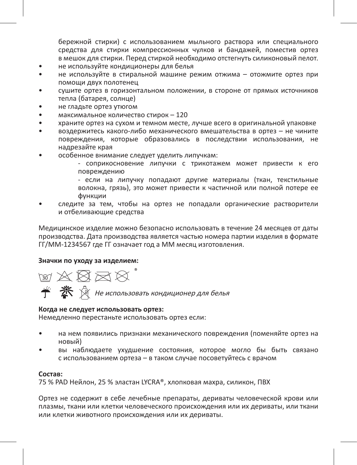бережной стирки) с использованием мыльного раствора или специального средства для стирки компрессионных чулков и бандажей, поместив ортез в мешок для стирки. Перед стиркой необходимо отстегнуть силиконовый пелот.

- не используйте кондиционеры для белья
- не используйте в стиральной машине режим отжима отожмите ортез при помощи двух полотенец
- сушите ортез в горизонтальном положении, в стороне от прямых источников тепла (батарея, солнце)
- не гладьте ортез утюгом
- максимальное количество стирок 120
- храните ортез на сухом и темном месте, лучше всего в оригинальной упаковке
- воздержитесь какого-либо механического вмешательства в ортез не чините повреждения, которые образовались в последствии использования, не надрезайте края
- особенное внимание следует уделить липучкам:

- соприкосновение липучки с трикотажем может привести к его повреждению

- если на липучку попадают другие материалы (ткан, текстильные волокна, грязь), это может привести к частичной или полной потере ее функции

• следите за тем, чтобы на ортез не попадали органические растворители и отбеливающие средства

Медицинское изделие можно безопасно использовать в течение 24 месяцев от даты производства. Дата производства является частью номера партии изделия в формате ГГ/ММ-1234567 где ГГ означает год а ММ месяц изготовления.

#### **Значки по уходу за изделием:**

**MXXXX** 

Не использовать кондиционер для белья

#### **Когда не следует использовать ортез:**

Немедленно перестаньте использовать ортез если:

- на нем появились признаки механического повреждения (поменяйте ортез на новый)
- вы наблюдаете ухудшение состояния, которое могло бы быть связано с использованием ортеза – в таком случае посоветуйтесь с врачом

#### **Состав:**

75 % PAD Нейлон, 25 % эластан LYCRA®, хлопковая махра, силикон, ПВХ

Ортез не содержит в себе лечебные препараты, дериваты человеческой крови или плазмы, ткани или клетки человеческого происхождения или их дериваты, или ткани или клетки животного происхождения или их дериваты.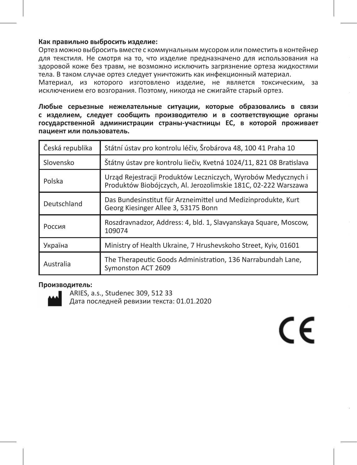#### **Как правильно выбросить изделие:**

Ортез можно выбросить вместе с коммунальным мусором или поместить в контейнер для текстиля. Не смотря на то, что изделие предназначено для использования на здоровой коже без травм, не возможно исключить загрязнение ортеза жидкостями тела. В таком случае ортез следует уничтожить как инфекционный материал.

Материал, из которого изготовлено изделие, не является токсическим, за исключением его возгорания. Поэтому, никогда не сжигайте старый ортез.

**Любые серьезные нежелательные ситуации, которые образовались в связи с изделием, следует сообщить производителю и в соответствующие органы государственной администрации страны-участницы ЕС, в которой проживает пациент или пользователь.**

| Česká republika | Státní ústav pro kontrolu léčiv, Šrobárova 48, 100 41 Praha 10                                                                  |
|-----------------|---------------------------------------------------------------------------------------------------------------------------------|
| Slovensko       | Štátny ústav pre kontrolu liečiv, Kvetná 1024/11, 821 08 Bratislava                                                             |
| Polska          | Urząd Rejestracji Produktów Leczniczych, Wyrobów Medycznych i<br>Produktów Biobójczych, Al. Jerozolimskie 181C, 02-222 Warszawa |
| Deutschland     | Das Bundesinstitut für Arzneimittel und Medizinprodukte, Kurt<br>Georg Kiesinger Allee 3, 53175 Bonn                            |
| Россия          | Roszdravnadzor, Address: 4, bld. 1, Slavyanskaya Square, Moscow,<br>109074                                                      |
| Україна         | Ministry of Health Ukraine, 7 Hrushevskoho Street, Kviv, 01601                                                                  |
| Australia       | The Therapeutic Goods Administration, 136 Narrabundah Lane,<br>Symonston ACT 2609                                               |

#### **Производитель:**



ARIES, a.s., Studenec 309, 512 33 Дата последней ревизии текста: 01.01.2020

# $\epsilon$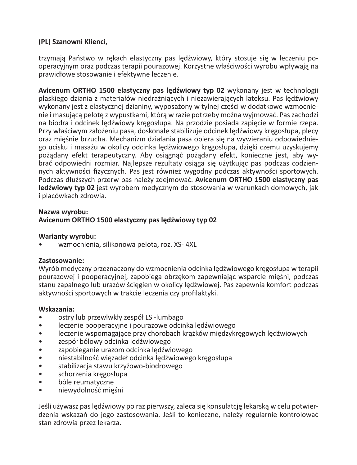#### **(PL) Szanowni Klienci,**

trzymają Państwo w rękach elastyczny pas lędźwiowy, który stosuje się w leczeniu pooperacyjnym oraz podczas terapii pourazowej. Korzystne właściwości wyrobu wpływają na prawidłowe stosowanie i efektywne leczenie.

**Avicenum ORTHO 1500 elastyczny pas lędźwiowy typ 02** wykonany jest w technologii płaskiego dziania z materiałów niedrażniących i niezawierających lateksu. Pas lędźwiowy wykonany jest z elastycznej dzianiny, wyposażony w tylnej części w dodatkowe wzmocnienie i masującą pelotę z wypustkami, którą w razie potrzeby można wyjmować. Pas zachodzi na biodra i odcinek lędźwiowy kręgosłupa. Na przodzie posiada zapięcie w formie rzepa. Przy właściwym założeniu pasa, doskonale stabilizuje odcinek lędźwiowy kręgosłupa, plecy oraz mięśnie brzucha. Mechanizm działania pasa opiera się na wywieraniu odpowiedniego ucisku i masażu w okolicy odcinka lędźwiowego kręgosłupa, dzięki czemu uzyskujemy pożądany efekt terapeutyczny. Aby osiągnąć pożądany efekt, konieczne jest, aby wybrać odpowiedni rozmiar. Najlepsze rezultaty osiąga się użytkując pas podczas codziennych aktywności fizycznych. Pas jest również wygodny podczas aktywności sportowych. Podczas dłuższych przerw pas należy zdejmować. **Avicenum ORTHO 1500 elastyczny pas ledźwiowy typ 02** jest wyrobem medycznym do stosowania w warunkach domowych, jak i placówkach zdrowia.

#### **Nazwa wyrobu: Avicenum ORTHO 1500 elastyczny pas lędźwiowy typ 02**

#### **Warianty wyrobu:**

• wzmocnienia, silikonowa pelota, roz. XS- 4XL

#### **Zastosowanie:**

Wyrób medyczny przeznaczony do wzmocnienia odcinka lędźwiowego kręgosłupa w terapii pourazowej i pooperacyjnej, zapobiega obrzękom zapewniając wsparcie mięśni, podczas stanu zapalnego lub urazów ścięgien w okolicy lędźwiowej. Pas zapewnia komfort podczas aktywności sportowych w trakcie leczenia czy profilaktyki.

#### **Wskazania:**

- ostry lub przewlwkły zespół LS -lumbago
- leczenie pooperacyjne i pourazowe odcinka lędźwiowego
- leczenie wspomagające przy chorobach krążków międzykręgowych lędźwiowych
- zespół bólowy odcinka ledźwiowego
- zapobieganie urazom odcinka lędźwiowego
- niestabilność więzadeł odcinka lędźwiowego kręgosłupa
- stabilizacja stawu krzyżowo-biodrowego
- schorzenia kregosłupa
- bóle reumatyczne
- niewydolność mięśni

Jeśli używasz pas lędźwiowy po raz pierwszy, zaleca się konsulatcję lekarską w celu potwierdzenia wskazań do jego zastosowania. Jeśli to konieczne, należy regularnie kontrolować stan zdrowia przez lekarza.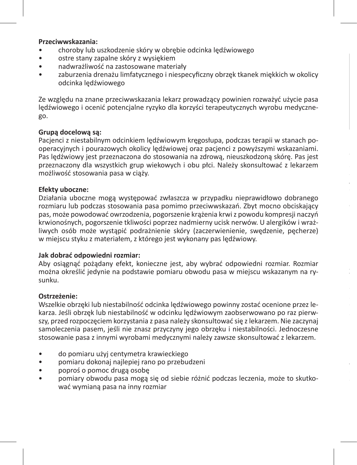#### **Przeciwwskazania:**

- choroby lub uszkodzenie skóry w obrębie odcinka lędźwiowego
- ostre stany zapalne skóry z wysiękiem
- nadwrażliwość na zastosowane materiały
- zaburzenia drenażu limfatycznego i niespecyficzny obrzęk tkanek miękkich w okolicy odcinka lędźwiowego

Ze względu na znane przeciwwskazania lekarz prowadzący powinien rozważyć użycie pasa lędźwiowego i ocenić potencjalne ryzyko dla korzyści terapeutycznych wyrobu medycznego.

#### **Grupą docelową są:**

Pacjenci z niestabilnym odcinkiem lędźwiowym kręgosłupa, podczas terapii w stanach pooperacyjnych i pourazowych okolicy lędźwiowej oraz pacjenci z powyższymi wskazaniami. Pas lędźwiowy jest przeznaczona do stosowania na zdrową, nieuszkodzoną skórę. Pas jest przeznaczony dla wszystkich grup wiekowych i obu płci. Należy skonsultować z lekarzem możliwość stosowania pasa w ciąży.

#### **Efekty uboczne:**

Działania uboczne mogą występować zwłaszcza w przypadku nieprawidłowo dobranego rozmiaru lub podczas stosowania pasa pomimo przeciwwskazań. Zbyt mocno obciskający pas, może powodować owrzodzenia, pogorszenie krążenia krwi z powodu kompresji naczyń krwionośnych, pogorszenie tkliwości poprzez nadmierny ucisk nerwów. U alergików i wrażliwych osób może wystąpić podrażnienie skóry (zaczerwienienie, swędzenie, pęcherze) w miejscu styku z materiałem, z którego jest wykonany pas lędźwiowy.

#### **Jak dobrać odpowiedni rozmiar:**

Aby osiągnąć pożądany efekt, konieczne jest, aby wybrać odpowiedni rozmiar. Rozmiar można określić jedynie na podstawie pomiaru obwodu pasa w miejscu wskazanym na rysunku.

#### **Ostrzeżenie:**

Wszelkie obrzęki lub niestabilność odcinka lędźwiowego powinny zostać ocenione przez lekarza. Jeśli obrzęk lub niestabilność w odcinku lędźwiowym zaobserwowano po raz pierwszy, przed rozpoczęciem korzystania z pasa należy skonsultować się z lekarzem. Nie zaczynaj samoleczenia pasem, jeśli nie znasz przyczyny jego obrzęku i niestabilności. Jednoczesne stosowanie pasa z innymi wyrobami medycznymi należy zawsze skonsultować z lekarzem.

- do pomiaru użyj centymetra krawieckiego
- pomiaru dokonaj najlepiej rano po przebudzeni
- poproś o pomoc drugą osobę
- pomiary obwodu pasa mogą się od siebie różnić podczas leczenia, może to skutkować wymianą pasa na inny rozmiar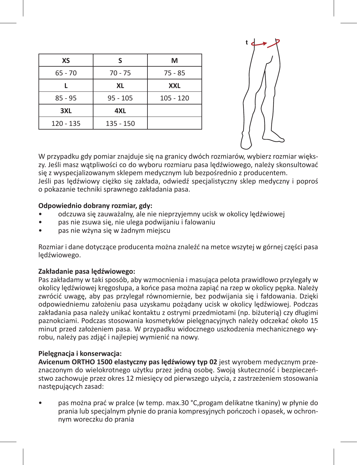| s          | М           |
|------------|-------------|
| $70 - 75$  | $75 - 85$   |
| XL         | <b>XXL</b>  |
| $95 - 105$ | $105 - 120$ |
| 4XL        |             |
| 135 - 150  |             |
|            |             |



W przypadku gdy pomiar znajduje się na granicy dwóch rozmiarów, wybierz rozmiar większy. Jeśli masz wątpliwości co do wyboru rozmiaru pasa lędźwiowego, należy skonsultować się z wyspecjalizowanym sklepem medycznym lub bezpośrednio z producentem. Jeśli pas lędźwiowy ciężko się zakłada, odwiedź specjalistyczny sklep medyczny i poproś o pokazanie techniki sprawnego zakładania pasa.

#### **Odpowiednio dobrany rozmiar, gdy:**

- odczuwa się zauważalny, ale nie nieprzyjemny ucisk w okolicy lędźwiowej
- pas nie zsuwa się, nie ulega podwijaniu i falowaniu
- pas nie wżyna się w żadnym miejscu

Rozmiar i dane dotyczące producenta można znaleźć na metce wszytej w górnej części pasa lędźwiowego.

#### **Zakładanie pasa lędźwiowego:**

Pas zakładamy w taki sposób, aby wzmocnienia i masująca pelota prawidłowo przylegały w okolicy lędźwiowej kręgosłupa, a końce pasa można zapiąć na rzep w okolicy pępka. Należy zwrócić uwagę, aby pas przylegał równomiernie, bez podwijania się i fałdowania. Dzięki odpowiedniemu założeniu pasa uzyskamu pożądany ucisk w okolicy lędźwiowej. Podczas zakładania pasa należy unikać kontaktu z ostrymi przedmiotami (np. biżuterią) czy długimi paznokciami. Podczas stosowania kosmetyków pielęgnacyjnych należy odczekać około 15 minut przed założeniem pasa. W przypadku widocznego uszkodzenia mechanicznego wyrobu, należy pas zdjąć i najlepiej wymienić na nowy.

#### **Pielęgnacja i konserwacja:**

**Avicenum ORTHO 1500 elastyczny pas lędźwiowy typ 02** jest wyrobem medycznym przeznaczonym do wielokrotnego użytku przez jedną osobę. Swoją skuteczność i bezpieczeństwo zachowuje przez okres 12 miesięcy od pierwszego użycia, z zastrzeżeniem stosowania następujących zasad:

• pas można prać w pralce (w temp. max.30 °C,progam delikatne tkaniny) w płynie do prania lub specjalnym płynie do prania kompresyjnych pończoch i opasek, w ochronnym woreczku do prania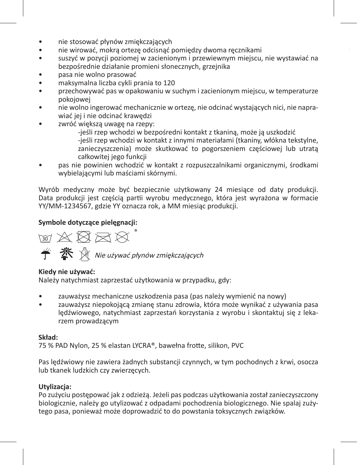- nie stosować płynów zmiękczających
- nie wirować, mokrą ortezę odcisnąć pomiędzy dwoma ręcznikami
- suszyć w pozycji poziomej w zacienionym i przewiewnym miejscu, nie wystawiać na bezpośrednie działanie promieni słonecznych, grzejnika
- pasa nie wolno prasować
- maksymalna liczba cykli prania to 120
- przechowywać pas w opakowaniu w suchym i zacienionym miejscu, w temperaturze pokojowej
- nie wolno ingerować mechanicznie w ortezę, nie odcinać wystających nici, nie naprawiać jej i nie odcinać krawędzi
- zwróć większą uwagę na rzepy:
	- -jeśli rzep wchodzi w bezpośredni kontakt z tkaniną, może ją uszkodzić -jeśli rzep wchodzi w kontakt z innymi materiałami (tkaniny, włókna tekstylne, zanieczyszczenia) może skutkować to pogorszeniem częściowej lub utratą całkowitej jego funkcji
- pas nie powinien wchodzić w kontakt z rozpuszczalnikami organicznymi, środkami wybielającymi lub maściami skórnymi.

Wyrób medyczny może być bezpiecznie użytkowany 24 miesiące od daty produkcji. Data produkcji jest częścią partii wyrobu medycznego, która jest wyrażona w formacie YY/MM-1234567, gdzie YY oznacza rok, a MM miesiąc produkcji.

#### **Symbole dotyczące pielęgnacji:**

™ ※ 図 ⊠ ☆  $\hat{\mathbf{f}}$   $\hat{\mathbf{X}}$   $\hat{\mathbf{N}}$  Nie używać płynów zmiękczających

#### **Kiedy nie używać:**

Należy natychmiast zaprzestać użytkowania w przypadku, gdy:

- zauważysz mechaniczne uszkodzenia pasa (pas należy wymienić na nowy)
- zauważysz niepokojącą zmianę stanu zdrowia, która może wynikać z używania pasa lędźwiowego, natychmiast zaprzestań korzystania z wyrobu i skontaktuj się z lekarzem prowadzącym

#### **Skład:**

75 % PAD Nylon, 25 % elastan LYCRA®, bawełna frotte, silikon, PVC

Pas lędźwiowy nie zawiera żadnych substancji czynnych, w tym pochodnych z krwi, osocza lub tkanek ludzkich czy zwierzęcych.

#### **Utylizacja:**

Po zużyciu postępować jak z odzieżą. Jeżeli pas podczas użytkowania został zanieczyszczony biologicznie, należy go utylizować z odpadami pochodzenia biologicznego. Nie spalaj zużytego pasa, ponieważ może doprowadzić to do powstania toksycznych związków.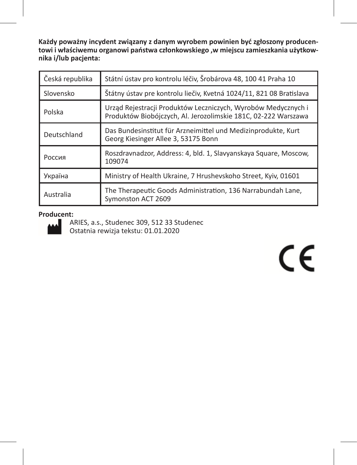**Każdy poważny incydent związany z danym wyrobem powinien być zgłoszony producentowi i właściwemu organowi państwa członkowskiego ,w miejscu zamieszkania użytkownika i/lub pacjenta:**

| Česká republika | Státní ústav pro kontrolu léčiv, Šrobárova 48, 100 41 Praha 10                                                                  |
|-----------------|---------------------------------------------------------------------------------------------------------------------------------|
| Slovensko       | Štátny ústav pre kontrolu liečiv, Kvetná 1024/11, 821 08 Bratislava                                                             |
| Polska          | Urząd Rejestracji Produktów Leczniczych, Wyrobów Medycznych i<br>Produktów Biobójczych, Al. Jerozolimskie 181C, 02-222 Warszawa |
| Deutschland     | Das Bundesinstitut für Arzneimittel und Medizinprodukte, Kurt<br>Georg Kiesinger Allee 3, 53175 Bonn                            |
| Россия          | Roszdravnadzor, Address: 4, bld. 1, Slavyanskaya Square, Moscow,<br>109074                                                      |
| Україна         | Ministry of Health Ukraine, 7 Hrushevskoho Street, Kyiv, 01601                                                                  |
| Australia       | The Therapeutic Goods Administration, 136 Narrabundah Lane,<br>Symonston ACT 2609                                               |

#### **Producent:**



ARIES, a.s., Studenec 309, 512 33 Studenec Ostatnia rewizja tekstu: 01.01.2020

# $\epsilon$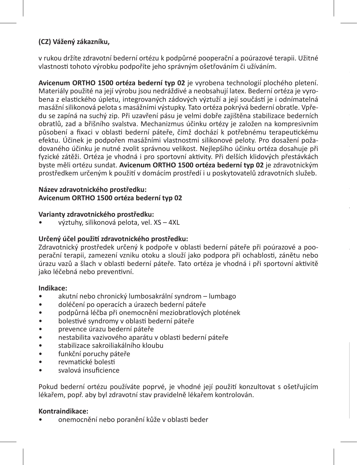#### **(CZ) Vážený zákazníku,**

v rukou držíte zdravotní bederní ortézu k podpůrné pooperační a poúrazové terapii. Užitné vlastnosti tohoto výrobku podpoříte jeho správným ošetřováním či užíváním.

**Avicenum ORTHO 1500 ortéza bederní typ 02** je vyrobena technologií plochého pletení. Materiály použité na její výrobu jsou nedráždivé a neobsahují latex. Bederní ortéza je vyrobena z elastického úpletu, integrovaných zádových výztuží a její součástí je i odnímatelná masážní silikonová pelota s masážními výstupky. Tato ortéza pokrývá bederní obratle. Vpředu se zapíná na suchý zip. Při uzavření pásu je velmi dobře zajištěna stabilizace bederních obratlů, zad a břišního svalstva. Mechanizmus účinku ortézy je založen na kompresivním působení a fixaci v oblasti bederní páteře, čímž dochází k potřebnému terapeutickému efektu. Účinek je podpořen masážními vlastnostmi silikonové peloty. Pro dosažení požadovaného účinku je nutné zvolit správnou velikost. Nejlepšího účinku ortéza dosahuje při fyzické zátěži. Ortéza je vhodná i pro sportovní aktivity. Při delších klidových přestávkách byste měli ortézu sundat. **Avicenum ORTHO 1500 ortéza bederní typ 02** je zdravotnickým prostředkem určeným k použití v domácím prostředí i u poskytovatelů zdravotních služeb.

#### **Název zdravotnického prostředku: Avicenum ORTHO 1500 ortéza bederní typ 02**

#### **Varianty zdravotnického prostředku:**

• výztuhy, silikonová pelota, vel. XS – 4XL

#### **Určený účel použití zdravotnického prostředku:**

Zdravotnický prostředek určený k podpoře v oblasti bederní páteře při poúrazové a pooperační terapii, zamezení vzniku otoku a slouží jako podpora při ochablosti, zánětu nebo úrazu vazů a šlach v oblasti bederní páteře. Tato ortéza je vhodná i při sportovní aktivitě jako léčebná nebo preventivní.

**Jak zvolit správnou velikost bederní ortézy:**

#### **Indikace:**

- akutní nebo chronický lumbosakrální syndrom lumbago
- doléčení po operacích a úrazech bederní páteře
- podpůrná léčba při onemocnění meziobratlových plotének
- bolestivé syndromy v oblasti bederní páteře
- prevence úrazu bederní páteře
- nestabilita vazivového aparátu v oblasti bederní páteře
- stabilizace sakroiliakálního kloubu
- funkční poruchy páteře
- revmatické bolesti
- svalová insuficience

Pokud bederní ortézu používáte poprvé, je vhodné její použití konzultovat s ošetřujícím lékařem, popř. aby byl zdravotní stav pravidelně lékařem kontrolován.

#### **Kontraindikace:**

• onemocnění nebo poranění kůže v oblasti beder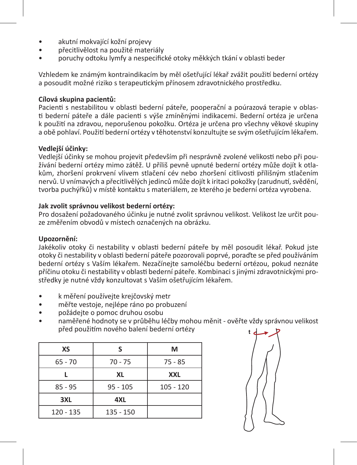- akutní mokvající kožní projevy
- přecitlivělost na použité materiály
- poruchy odtoku lymfy a nespecifické otoky měkkých tkání v oblasti beder

Vzhledem ke známým kontraindikacím by měl ošetřující lékař zvážit použití bederní ortézy a posoudit možné riziko s terapeutickým přínosem zdravotnického prostředku.

#### **Cílová skupina pacientů:**

Pacienti s nestabilitou v oblasti bederní páteře, pooperační a poúrazová terapie v oblasti bederní páteře a dále pacienti s výše zmíněnými indikacemi. Bederní ortéza je určena k použití na zdravou, neporušenou pokožku. Ortéza je určena pro všechny věkové skupiny a obě pohlaví. Použití bederní ortézy v těhotenství konzultujte se svým ošetřujícím lékařem.

#### **Vedlejší účinky:**

Vedlejší účinky se mohou projevit především při nesprávně zvolené velikosti nebo při používání bederní ortézy mimo zátěž. U příliš pevně upnuté bederní ortézy může dojít k otlakům, zhoršení prokrvení vlivem stlačení cév nebo zhoršení citlivosti přílišným stlačením nervů. U vnímavých a přecitlivělých jedinců může dojít k iritaci pokožky (zarudnutí, svědění, tvorba puchýřků) v místě kontaktu s materiálem, ze kterého je bederní ortéza vyrobena.

#### **Jak zvolit správnou velikost bederní ortézy:**

Pro dosažení požadovaného účinku je nutné zvolit správnou velikost. Velikost lze určit pouze změřením obvodů v místech označených na obrázku.

#### **Upozornění:**

Jakékoliv otoky či nestability v oblasti bederní páteře by měl posoudit lékař. Pokud jste otoky či nestability v oblasti bederní páteře pozorovali poprvé, poraďte se před používáním bederní ortézy s Vaším lékařem. Nezačínejte samoléčbu bederní ortézou, pokud neznáte příčinu otoku či nestability v oblasti bederní páteře. Kombinaci s jinými zdravotnickými prostředky je nutné vždy konzultovat s Vaším ošetřujícím lékařem.

- k měření používejte krejčovský metr
- měřte vestoje, nejlépe ráno po probuzení
- požádejte o pomoc druhou osobu
- naměřené hodnoty se v průběhu léčby mohou měnit ověřte vždy správnou velikost před použitím nového balení bederní ortézy

| ς          | М           |
|------------|-------------|
| $70 - 75$  | $75 - 85$   |
| XL         | <b>XXL</b>  |
| $95 - 105$ | $105 - 120$ |
| 4XL        |             |
| 135 - 150  |             |
|            |             |

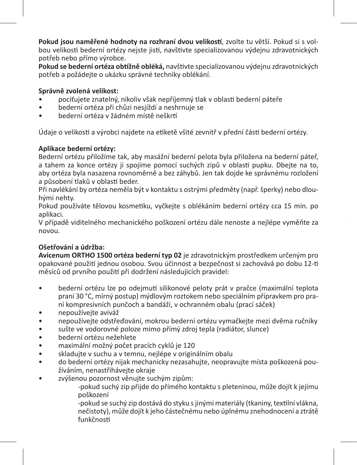**Pokud jsou naměřené hodnoty na rozhraní dvou velikostí**, zvolte tu větší. Pokud si s volbou velikosti bederní ortézy nejste jisti, navštivte specializovanou výdejnu zdravotnických potřeb nebo přímo výrobce.

**Pokud se bederní ortéza obtížně obléká,** navštivte specializovanou výdejnu zdravotnických potřeb a požádejte o ukázku správné techniky oblékání.

#### **Správně zvolená velikost:**

- pociťujete znatelný, nikoliv však nepříjemný tlak v oblasti bederní páteře
- bederní ortéza při chůzi nesjíždí a neshrnuje se
- bederní ortéza v žádném místě neškrtí

Údaje o velikosti a výrobci najdete na etiketě všité zevnitř v přední části bederní ortézy.

#### **Aplikace bederní ortézy:**

Bederní ortézu přiložíme tak, aby masážní bederní pelota byla přiložena na bederní páteř, a tahem za konce ortézy ji spojíme pomocí suchých zipů v oblasti pupku. Dbejte na to, aby ortéza byla nasazena rovnoměrně a bez záhybů. Jen tak dojde ke správnému rozložení a působení tlaků v oblasti beder.

Při navlékání by ortéza neměla být v kontaktu s ostrými předměty (např. šperky) nebo dlouhými nehty.

Pokud používáte tělovou kosmetiku, vyčkejte s oblékáním bederní ortézy cca 15 min. po aplikaci.

V případě viditelného mechanického poškození ortézu dále nenoste a nejlépe vyměňte za novou.

#### **Ošetřování a údržba:**

**Avicenum ORTHO 1500 ortéza bederní typ 02** je zdravotnickým prostředkem určeným pro opakované použití jednou osobou. Svou účinnost a bezpečnost si zachovává po dobu 12-ti měsíců od prvního použití při dodržení následujících pravidel:

- bederní ortézu lze po odejmutí silikonové peloty prát v pračce (maximální teplota praní 30 °C, mírný postup) mýdlovým roztokem nebo speciálním přípravkem pro praní kompresivních punčoch a bandáží, v ochranném obalu (prací sáček)
- nepoužívejte aviváž
- nepoužívejte odstřeďování, mokrou bederní ortézu vymačkejte mezi dvěma ručníky
- sušte ve vodorovné poloze mimo přímý zdroj tepla (radiátor, slunce)
- bederní ortézu nežehlete
- maximální možný počet pracích cyklů je 120
- skladuite v suchu a v temnu, nejlépe v originálním obalu
- do bederní ortézy nijak mechanicky nezasahujte, neopravujte místa poškozená používáním, nenastřihávejte okraje
- zvýšenou pozornost věnujte suchým zipům:

-pokud suchý zip přijde do přímého kontaktu s pleteninou, může dojít k jejímu poškození

-pokud se suchý zip dostává do styku sjinými materiály (tkaniny, textilní vlákna, nečistoty), může dojít k jeho částečnému nebo úplnému znehodnocení a ztrátě funkčnosti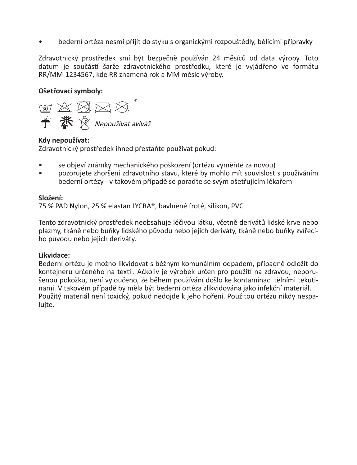• bederní ortéza nesmí přijít do styku s organickými rozpouštědly, bělícími přípravky

Zdravotnický prostředek smí být bezpečně používán 24 měsíců od data výroby. Toto datum je součástí šarže zdravotnického prostředku, které je vyjádřeno ve formátu RR/MM-1234567, kde RR znamená rok a MM měsíc výroby.

#### **Ošetřovací symboly:**



#### **Kdy nepoužívat:**

Zdravotnický prostředek ihned přestaňte používat pokud:

- se objeví známky mechanického poškození (ortézu vyměňte za novou)
- pozorujete zhoršení zdravotního stavu, které by mohlo mít souvislost s používáním bederní ortézy - v takovém případě se poraďte se svým ošetřujícím lékařem

#### **Složení:**

75 % PAD Nylon, 25 % elastan LYCRA®, bavlněné froté, silikon, PVC

Tento zdravotnický prostředek neobsahuje léčivou látku, včetně derivátů lidské krve nebo plazmy, tkáně nebo buňky lidského původu nebo jejich deriváty, tkáně nebo buňky zvířecího původu nebo jejich deriváty.

#### **Likvidace:**

Bederní ortézu je možno likvidovat s běžným komunálním odpadem, případně odložit do kontejneru určeného na textil. Ačkoliv je výrobek určen pro použití na zdravou, neporušenou pokožku, není vyloučeno, že během používání došlo ke kontaminaci tělními tekutinami. V takovém případě by měla být bederní ortéza zlikvidována jako infekční materiál. Použitý materiál není toxický, pokud nedojde k jeho hoření. Použitou ortézu nikdy nespalujte.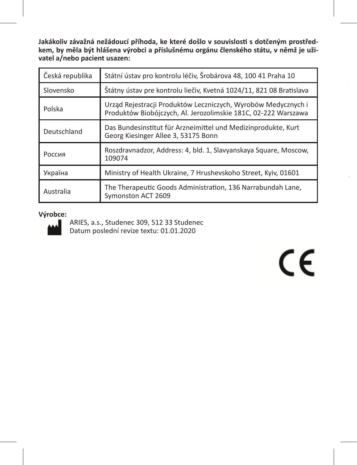**Jakákoliv závažná nežádoucí příhoda, ke které došlo v souvislosti s dotčeným prostředkem, by měla být hlášena výrobci a příslušnému orgánu členského státu, v němž je uživatel a/nebo pacient usazen:**

| Česká republika | Státní ústav pro kontrolu léčiv, Šrobárova 48, 100 41 Praha 10                                                                  |
|-----------------|---------------------------------------------------------------------------------------------------------------------------------|
| Slovensko       | Štátny ústav pre kontrolu liečiv, Kvetná 1024/11, 821 08 Bratislava                                                             |
| Polska          | Urząd Rejestracji Produktów Leczniczych, Wyrobów Medycznych i<br>Produktów Biobójczych, Al. Jerozolimskie 181C, 02-222 Warszawa |
| Deutschland     | Das Bundesinstitut für Arzneimittel und Medizinprodukte, Kurt<br>Georg Kiesinger Allee 3, 53175 Bonn                            |
| Россия          | Roszdravnadzor, Address: 4, bld. 1, Slavyanskaya Square, Moscow,<br>109074                                                      |
| Україна         | Ministry of Health Ukraine, 7 Hrushevskoho Street, Kyiv, 01601                                                                  |
| Australia       | The Therapeutic Goods Administration, 136 Narrabundah Lane,<br>Symonston ACT 2609                                               |

#### **Výrobce:**



ARIES, a.s., Studenec 309, 512 33 Studenec Datum poslední revize textu: 01.01.2020

 $\epsilon$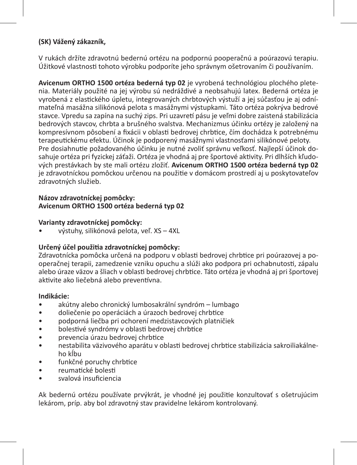#### **(SK) Vážený zákazník,**

V rukách držíte zdravotnú bedernú ortézu na podpornú pooperačnú a poúrazovú terapiu. Úžitkové vlastnosti tohoto výrobku podporíte jeho správnym ošetrovaním či používaním.

**Avicenum ORTHO 1500 ortéza bederná typ 02** je vyrobená technológiou plochého pletenia. Materiály použité na jej výrobu sú nedráždivé a neobsahujú latex. Bederná ortéza je vyrobená z elastického úpletu, integrovaných chrbtových výstuží a jej súčasťou je aj odnímateľná masážna silikónová pelota s masážnymi výstupkami. Táto ortéza pokrýva bedrové stavce. Vpredu sa zapína na suchý zips. Pri uzavretí pásu je veľmi dobre zaistená stabilizácia bedrových stavcov, chrbta a brušného svalstva. Mechanizmus účinku ortézy je založený na kompresívnom pôsobení a fixácii v oblasti bedrovej chrbtice, čím dochádza k potrebnému terapeutickému efektu. Účinok je podporený masážnymi vlastnosťami silikónové peloty. Pre dosiahnutie požadovaného účinku je nutné zvoliť správnu veľkosť. Najlepší účinok dosahuje ortéza pri fyzickej záťaži. Ortéza je vhodná aj pre športové aktivity. Pri dlhších kľudových prestávkach by ste mali ortézu zložiť. **Avicenum ORTHO 1500 ortéza bederná typ 02** je zdravotníckou pomôckou určenou na použitie v domácom prostredí aj u poskytovateľov zdravotných služieb.

#### **Názov zdravotníckej pomôcky: Avicenum ORTHO 1500 ortéza bederná typ 02**

#### **Varianty zdravotníckej pomôcky:**

• výstuhy, silikónová pelota, veľ. XS – 4XL

#### **Určený účel použitia zdravotníckej pomôcky:**

Zdravotnícka pomôcka určená na podporu v oblasti bedrovej chrbtice pri poúrazovej a pooperačnej terapii, zamedzenie vzniku opuchu a slúži ako podpora pri ochabnutosti, zápalu alebo úraze väzov a šliach v oblasti bedrovej chrbtice. Táto ortéza je vhodná aj pri športovej aktivite ako liečebná alebo preventívna.

#### **Indikácie:**

- akútny alebo chronický lumbosakrální syndróm lumbago
- doliečenie po operáciách a úrazoch bedrovej chrbtice
- podporná liečba pri ochorení medzistavcových platničiek
- bolestivé syndrómy v oblasti bedrovej chrbtice
- prevencia úrazu bedrovej chrbtice
- nestabilita väzivového aparátu v oblasti bedrovej chrbtice stabilizácia sakroiliakálneho kĺbu
- funkčné poruchy chrbtice
- reumatické bolesti
- svalová insuficiencia

Ak bedernú ortézu používate prvýkrát, je vhodné jej použitie konzultovať s ošetrujúcim lekárom, príp. aby bol zdravotný stav pravidelne lekárom kontrolovaný.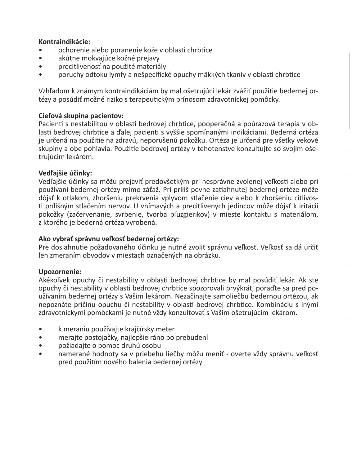#### **Kontraindikácie:**

- ochorenie alebo poranenie kože v oblasti chrbtice
- akútne mokvajúce kožné prejavy
- precitlivenosť na použité materiály
- poruchy odtoku lymfy a nešpecifické opuchy mäkkých tkanív v oblasti chrbtice

Vzhľadom k známym kontraindikáciám by mal ošetrujúci lekár zvážiť použitie bedernej ortézy a posúdiť možné riziko s terapeutickým prínosom zdravotníckej pomôcky.

#### **Cieľová skupina pacientov:**

Pacienti s nestabilitou v oblasti bedrovej chrbtice, pooperačná a poúrazová terapia v oblasti bedrovej chrbtice a ďalej pacienti s vyššie spomínanými indikáciami. Bederná ortéza je určená na použitie na zdravú, neporušenú pokožku. Ortéza je určená pre všetky vekové skupiny a obe pohlavia. Použitie bedrovej ortézy v tehotenstve konzultujte so svojím ošetrujúcim lekárom.

#### **Vedľajšie účinky:**

Vedľajšie účinky sa môžu prejaviť predovšetkým pri nesprávne zvolenej veľkosti alebo pri používaní bedernej ortézy mimo záťaž. Pri príliš pevne zatiahnutej bedernej ortéze môže dôjsť k otlakom, zhoršeniu prekrvenia vplyvom stlačenie ciev alebo k zhoršeniu citlivosti prílišným stlačením nervov. U vnímavých a precitlivených jedincov môže dôjsť k iritácii pokožky (začervenanie, svrbenie, tvorba pľuzgierikov) v mieste kontaktu s materiálom, z ktorého je bederná ortéza vyrobená.

#### **Ako vybrať správnu veľkosť bedernej ortézy:**

Pre dosiahnutie požadovaného účinku je nutné zvoliť správnu veľkosť. Veľkosť sa dá určiť len zmeraním obvodov v miestach označených na obrázku.

#### **Upozornenie:**

Akékoľvek opuchy či nestability v oblasti bedrovej chrbtice by mal posúdiť lekár. Ak ste opuchy či nestability v oblasti bedrovej chrbtice spozorovali prvýkrát, poraďte sa pred používaním bedernej ortézy s Vašim lekárom. Nezačínajte samoliečbu bedernou ortézou, ak nepoznáte príčinu opuchu či nestability v oblasti bedrovej chrbtice. Kombináciu s inými zdravotníckymi pomôckami je nutné vždy konzultovať s Vašim ošetrujúcim lekárom.

- k meraniu používajte krajčírsky meter
- merajte postojačky, najlepšie ráno po prebudení
- požiadajte o pomoc druhú osobu
- namerané hodnoty sa v priebehu liečby môžu meniť overte vždy správnu veľkosť pred použitím nového balenia bedernej ortézy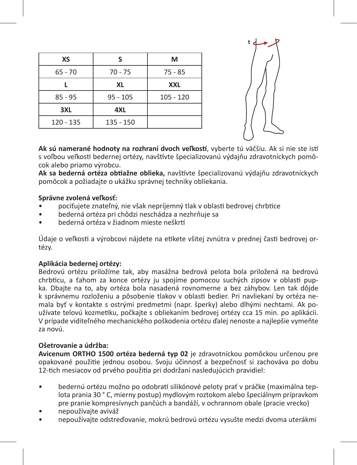| ς          | М           |
|------------|-------------|
| $70 - 75$  | $75 - 85$   |
| XL         | <b>XXL</b>  |
| $95 - 105$ | $105 - 120$ |
| 4XL        |             |
| 135 - 150  |             |
|            |             |



**Ak sú namerané hodnoty na rozhraní dvoch veľkostí**, vyberte tú väčšiu. Ak si nie ste istí s voľbou veľkosti bedernej ortézy, navštívte špecializovanú výdajňu zdravotníckych pomôcok alebo priamo výrobcu.

**Ak sa bederná ortéza obtiažne oblieka,** navštívte špecializovanú výdajňu zdravotníckych pomôcok a požiadajte o ukážku správnej techniky obliekania.

#### **Správne zvolená veľkosť:**

- pociťujete znateľný, nie však nepríjemný tlak v oblasti bedrovej chrbtice
- bederná ortéza pri chôdzi neschádza a nezhrňuje sa
- bederná ortéza v žiadnom mieste neškrtí

Údaje o veľkosti a výrobcovi nájdete na etikete všitej zvnútra v prednej časti bedrovej ortézy.

#### **Aplikácia bedernej ortézy:**

Bedrovú ortézu priložíme tak, aby masážna bedrová pelota bola priložená na bedrovú chrbticu, a ťahom za konce ortézy ju spojíme pomocou suchých zipsov v oblasti pupka. Dbajte na to, aby ortéza bola nasadená rovnomerne a bez záhybov. Len tak dôjde k správnemu rozloženiu a pôsobenie tlakov v oblasti bedier. Pri navliekaní by ortéza nemala byť v kontakte s ostrými predmetmi (napr. šperky) alebo dlhými nechtami. Ak používate telovú kozmetiku, počkajte s obliekaním bedrovej ortézy cca 15 min. po aplikácii. V prípade viditeľného mechanického poškodenia ortézu ďalej nenoste a najlepšie vymeňte za novú.

#### **Ošetrovanie a údržba:**

**Avicenum ORTHO 1500 ortéza bederná typ 02** je zdravotníckou pomôckou určenou pre opakované použitie jednou osobou. Svoju účinnosť a bezpečnosť si zachováva po dobu 12-tich mesiacov od prvého použitia pri dodržaní nasledujúcich pravidiel:

- bedernú ortézu možno po odobratí silikónové peloty prať v práčke (maximálna teplota prania 30 ° C, mierny postup) mydlovým roztokom alebo špeciálnym prípravkom pre pranie kompresívnych pančúch a bandáží, v ochrannom obale (pracie vrecko)
- nepoužívajte aviváž
- nepoužívajte odstreďovanie, mokrú bedrovú ortézu vysušte medzi dvoma uterákmi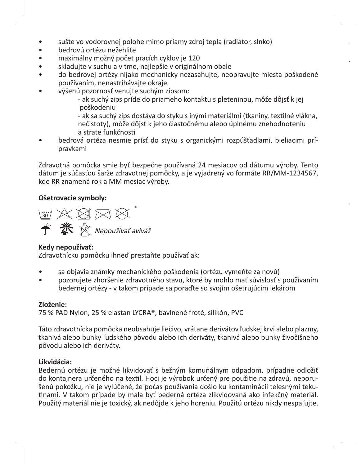- sušte vo vodorovnej polohe mimo priamy zdroj tepla (radiátor, slnko)<br>• bedrovú ortézu nežeblite
- bedrovú ortézu nežehlite
- maximálny možný počet pracích cyklov je 120<br>• skladujte v suchu a v tme najlenšie v origináln
- skladujte v suchu a v tme, najlepšie v originálnom obale
- do bedrovej ortézy nijako mechanicky nezasahujte, neopravujte miesta poškodené používaním, nenastrihávajte okraje
- výšenú pozornosť venujte suchým zipsom:

- ak suchý zips príde do priameho kontaktu s pleteninou, môže dôjsť k jej poškodeniu

- ak sa suchý zips dostáva do styku s inými materiálmi (tkaniny, textilné vlákna, nečistoty), môže dôjsť k jeho čiastočnému alebo úplnému znehodnoteniu a strate funkčnosti

**je používateľ a/alebo pacient usadený:** 

• bedrová ortéza nesmie prísť do styku s organickými rozpúšťadlami, bieliacimi prípravkami

Zdravotná pomôcka smie byť bezpečne používaná 24 mesiacov od dátumu výroby. Tento dátum je súčasťou šarže zdravotnej pomôcky, a je vyjadrený vo formáte RR/MM-1234567, kde RR znamená rok a MM mesiac výroby.

#### **Ošetrovacie symboly:**



#### **Kedy nepoužívať:**

Zdravotnícku pomôcku ihneď prestaňte používať ak:

- sa objavia známky mechanického poškodenia (ortézu vymeňte za novú)
- pozorujete zhoršenie zdravotného stavu, ktoré by mohlo mať súvislosť s používaním bedernej ortézy - v takom prípade sa poraďte so svojím ošetrujúcim lekárom

#### **Zloženie:**

75 % PAD Nylon, 25 % elastan LYCRA®, bavlnené froté, silikón, PVC

Táto zdravotnícka pomôcka neobsahuje liečivo, vrátane derivátov ľudskej krvi alebo plazmy, tkanivá alebo bunky ľudského pôvodu alebo ich deriváty, tkanivá alebo bunky živočíšneho pôvodu alebo ich deriváty.

#### **Likvidácia:**

Bedernú ortézu je možné likvidovať s bežným komunálnym odpadom, prípadne odložiť do kontajnera určeného na textil. Hoci je výrobok určený pre použitie na zdravú, neporušenú pokožku, nie je vylúčené, že počas používania došlo ku kontaminácii telesnými tekutinami. V takom prípade by mala byť bederná ortéza zlikvidovaná ako infekčný materiál. Použitý materiál nie je toxický, ak nedôjde k jeho horeniu. Použitú ortézu nikdy nespaľujte.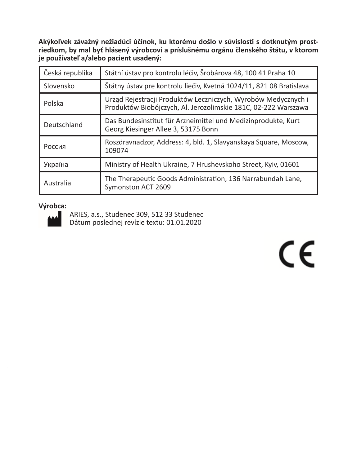**Akýkoľvek závažný nežiadúci účinok, ku ktorému došlo v súvislosti s dotknutým prostriedkom, by mal byť hlásený výrobcovi a príslušnému orgánu členského štátu, v ktorom je používateľ a/alebo pacient usadený:** 

| Česká republika | Státní ústav pro kontrolu léčiv, Šrobárova 48, 100 41 Praha 10                                                                  |
|-----------------|---------------------------------------------------------------------------------------------------------------------------------|
| Slovensko       | Štátny ústav pre kontrolu liečiv, Kvetná 1024/11, 821 08 Bratislava                                                             |
| Polska          | Urząd Rejestracji Produktów Leczniczych, Wyrobów Medycznych i<br>Produktów Biobójczych, Al. Jerozolimskie 181C, 02-222 Warszawa |
| Deutschland     | Das Bundesinstitut für Arzneimittel und Medizinprodukte, Kurt<br>Georg Kiesinger Allee 3, 53175 Bonn                            |
| Россия          | Roszdravnadzor, Address: 4, bld. 1, Slavyanskaya Square, Moscow,<br>109074                                                      |
| Україна         | Ministry of Health Ukraine, 7 Hrushevskoho Street, Kyiv, 01601                                                                  |
| Australia       | The Therapeutic Goods Administration, 136 Narrabundah Lane,<br>Symonston ACT 2609                                               |

#### **Výrobca:**



ARIES, a.s., Studenec 309, 512 33 Studenec Dátum poslednej revízie textu: 01.01.2020

 $\epsilon$